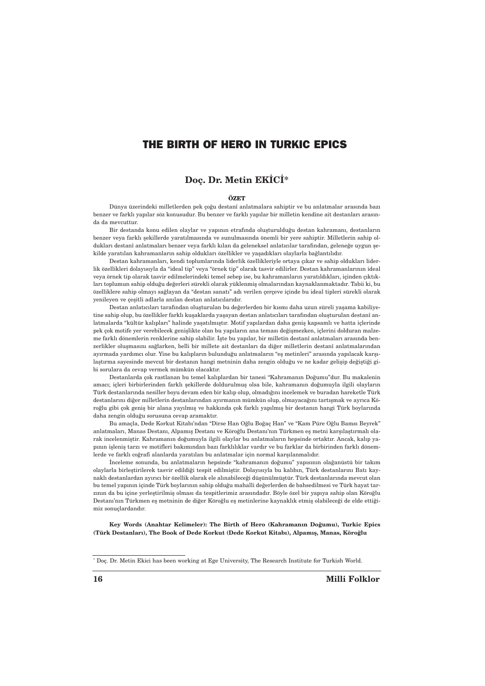# THE BIRTH OF HERO IN TURKIC EPICS

# Doc. Dr. Metin EKİCİ\*

#### ÖZET

Dünya üzerindeki milletlerden pek çoğu destanî anlatmalara sahiptir ve bu anlatmalar arasında bazı benzer ve farklı yapılar söz konusudur. Bu benzer ve farklı yapılar bir milletin kendine ait destanları arasında da mevcuttur.

Bir destanda konu edilen olaylar ve yapının etrafında oluşturulduğu destan kahramanı, destanların benzer veya farklı şekillerde yaratılmasında ve sunulmasında önemli bir yere sahiptir. Milletlerin sahip oldukları destanî anlatmaları benzer veya farklı kılan da geleneksel anlatıcılar tarafından, geleneğe uygun şekilde yaratılan kahramanların sahip oldukları özellikler ve yaşadıkları olaylarla bağlantılıdır.

Destan kahramanları, kendi toplumlarında liderlik özellikleriyle ortaya çıkar ve sahip oldukları liderlik özellikleri dolayısıyla da "ideal tip" yeya "örnek tip" olarak tasvir edilirler. Destan kahramanlarının ideal veya örnek tip olarak tasvir edilmelerindeki temel sebep ise, bu kahramanların yaratıldıkları, içinden çıktıkları toplumun sahip olduğu değerleri sürekli olarak yüklenmiş olmalarından kaynaklanmaktadır. Tabii ki, bu özelliklere sahip olmayı sağlayan da "destan sanatı" adı verilen çerçeve içinde bu ideal tipleri sürekli olarak yenileyen ve çesitli adlarla anılan destan anlatıcılarıdır.

Destan anlatıcıları tarafından oluşturulan bu değerlerden bir kısmı daha uzun süreli yaşama kabiliyetine sahip olup, bu özellikler farklı kusaklarda yasayan destan anlatıcıları tarafından olusturulan destanî anlatmalarda "kültür kalıpları" halinde yasatılmıştır. Motif yapılardan daha geniş kapsamlı ve hatta içlerinde pek çok motife yer verebilecek genişlikte olan bu yapıların ana teması değişmezken, içlerini dolduran malzeme farklı dönemlerin renklerine sahip olabilir. İşte bu yapılar, bir milletin destanî anlatmaları arasında benzerlikler oluşmasını sağlarken, belli bir millete ait destanları da diğer milletlerin destanî anlatmalarından ayırmada yardımcı olur. Yine bu kalıpların bulunduğu anlatmaların "eş metinleri" arasında yapılacak karşılaştırma sayesinde mevcut bir destanın hangi metninin daha zengin olduğu ve ne kadar gelişip değiştiği gibi sorulara da cevap vermek mümkün olacaktır.

Destanlarda çok rastlanan bu temel kalıplardan bir tanesi "Kahramanın Doğumu"dur. Bu makalenin amacı; içleri birbirlerinden farklı sekillerde doldurulmus olsa bile, kahramanın doğumuyla ilgili olayların Türk destanlarında nesiller boyu devam eden bir kalıp olup, olmadığını incelemek ve buradan hareketle Türk destanlarını diğer milletlerin destanlarından ayırmanın mümkün olup, olmayacağını tartışmak ve ayrıca Köroğlu gibi çok geniş bir alana yayılmış ve hakkında çok farklı yapılmış bir destanın hangi Türk boylarında daha zengin olduğu sorusuna cevap aramaktır.

Bu amaçla, Dede Korkut Kitabı'ndan "Dirse Han Oğlu Boğaç Han" ve "Kam Püre Oğlu Bamsı Beyrek" anlatmaları, Manas Destanı, Alpamış Destanı ve Köroğlu Destanı'nın Türkmen eş metni karşılaştırmalı olarak incelenmiştir. Kahramanın doğumuyla ilgili olaylar bu anlatmaların hepsinde ortaktır. Ancak, kalıp yapunin islenis tarzı ve motifleri bakımından bazı farklılıklar vardır ve bu farklar da birbirinden farklı dönemlerde ve farklı coğrafi alanlarda yaratılan bu anlatmalar için normal karşılanmalıdır.

İnceleme sonunda, bu anlatmaların hepsinde "kahramanın doğumu" yapısının olağanüstü bir takım olaylarla birleştirilerek tasvir edildiği tespit edilmiştir. Dolayısıyla bu kalıbın, Türk destanlarını Batı kaynaklı destanlardan ayırıcı bir özellik olarak ele alınabileceği düşünülmüştür. Türk destanlarında mevcut olan bu temel yapının içinde Türk boylarının sahip olduğu mahalli değerlerden de bahsedilmesi ve Türk hayat tarzının da bu içine yerleştirilmiş olması da tespitlerimiz arasındadır. Böyle özel bir yapıya sahip olan Köroğlu Destanı'nın Türkmen eş metninin de diğer Köroğlu eş metinlerine kaynaklık etmiş olabileceği de elde ettiğimiz sonuçlardandır.

Key Words (Anahtar Kelimeler): The Birth of Hero (Kahramanın Doğumu), Turkic Epics (Türk Destanları), The Book of Dede Korkut (Dede Korkut Kitabı), Alpamıs, Manas, Köroğlu

<sup>\*</sup> Doç. Dr. Metin Ekici has been working at Ege University, The Research Institute for Turkish World.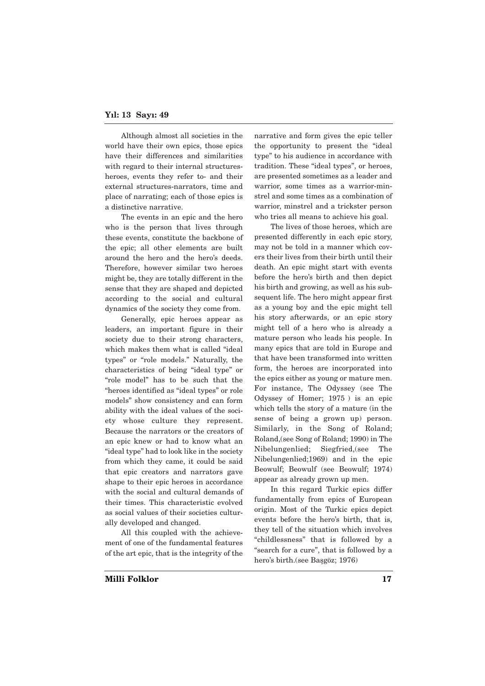### Yıl: 13 Sayı: 49

Although almost all societies in the world have their own epics, those epics have their differences and similarities with regard to their internal structuresheroes, events they refer to- and their external structures-narrators, time and place of narrating; each of those epics is a distinctive narrative.

The events in an epic and the hero who is the person that lives through these events, constitute the backbone of the epic; all other elements are built around the hero and the hero's deeds. Therefore, however similar two heroes might be, they are totally different in the sense that they are shaped and depicted according to the social and cultural dynamics of the society they come from.

Generally, epic heroes appear as leaders, an important figure in their society due to their strong characters, which makes them what is called "ideal types" or "role models." Naturally, the characteristics of being "ideal type" or "role model" has to be such that the "heroes identified as "ideal types" or role models" show consistency and can form ability with the ideal values of the society whose culture they represent. Because the narrators or the creators of an epic knew or had to know what an "ideal type" had to look like in the society from which they came, it could be said that epic creators and narrators gave shape to their epic heroes in accordance with the social and cultural demands of their times. This characteristic evolved as social values of their societies culturally developed and changed.

All this coupled with the achievement of one of the fundamental features of the art epic, that is the integrity of the narrative and form gives the epic teller the opportunity to present the "ideal type" to his audience in accordance with tradition. These "ideal types", or heroes, are presented sometimes as a leader and warrior, some times as a warrior-minstrel and some times as a combination of warrior, minstrel and a trickster person who tries all means to achieve his goal.

The lives of those heroes, which are presented differently in each epic story, may not be told in a manner which covers their lives from their birth until their death. An epic might start with events before the hero's birth and then depict his birth and growing, as well as his subsequent life. The hero might appear first as a young boy and the epic might tell his story afterwards, or an epic story might tell of a hero who is already a mature person who leads his people. In many epics that are told in Europe and that have been transformed into written form, the heroes are incorporated into the epics either as young or mature men. For instance, The Odyssey (see The Odyssey of Homer; 1975 ) is an epic which tells the story of a mature (in the sense of being a grown up) person. Similarly, in the Song of Roland; Roland,(see Song of Roland; 1990) in The Nibelungenlied; Siegfried,(see The Nibelungenlied;1969) and in the epic Beowulf; Beowulf (see Beowulf; 1974) appear as already grown up men.

In this regard Turkic epics differ fundamentally from epics of European origin. Most of the Turkic epics depict events before the hero's birth, that is, they tell of the situation which involves "childlessness" that is followed by a "search for a cure", that is followed by a hero's birth.(see Basgöz; 1976)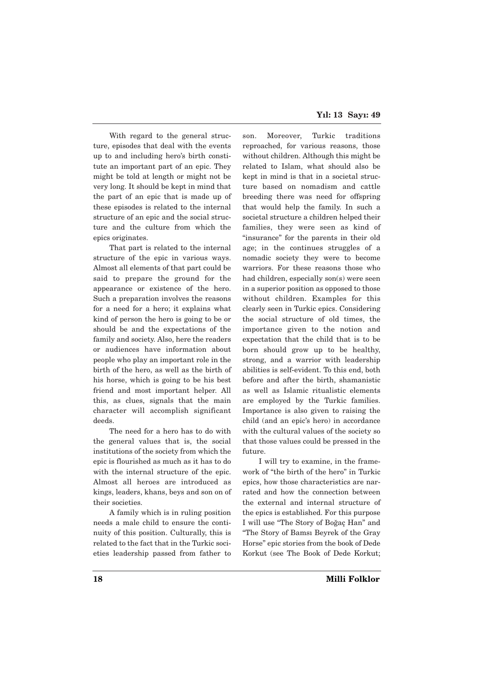With regard to the general structure, episodes that deal with the events up to and including hero's birth constitute an important part of an epic. They might be told at length or might not be very long. It should be kept in mind that the part of an epic that is made up of these episodes is related to the internal structure of an epic and the social structure and the culture from which the epics originates.

That part is related to the internal structure of the epic in various ways. Almost all elements of that part could be said to prepare the ground for the appearance or existence of the hero. Such a preparation involves the reasons for a need for a hero; it explains what kind of person the hero is going to be or should be and the expectations of the family and society. Also, here the readers or audiences have information about people who play an important role in the birth of the hero, as well as the birth of his horse, which is going to be his best friend and most important helper. All this, as clues, signals that the main character will accomplish significant deeds.

The need for a hero has to do with the general values that is, the social institutions of the society from which the epic is flourished as much as it has to do with the internal structure of the epic. Almost all heroes are introduced as kings, leaders, khans, beys and son on of their societies.

A family which is in ruling position needs a male child to ensure the continuity of this position. Culturally, this is related to the fact that in the Turkic societies leadership passed from father to son. Moreover, Turkic traditions reproached, for various reasons, those without children. Although this might be related to Islam, what should also be kept in mind is that in a societal structure based on nomadism and cattle breeding there was need for offspring that would help the family. In such a societal structure a children helped their families, they were seen as kind of "insurance" for the parents in their old age; in the continues struggles of a nomadic society they were to become warriors. For these reasons those who had children, especially son(s) were seen in a superior position as opposed to those without children. Examples for this clearly seen in Turkic epics. Considering the social structure of old times, the importance given to the notion and expectation that the child that is to be born should grow up to be healthy, strong, and a warrior with leadership abilities is self-evident. To this end, both before and after the birth, shamanistic as well as Islamic ritualistic elements are employed by the Turkic families. Importance is also given to raising the child (and an epic's hero) in accordance with the cultural values of the society so that those values could be pressed in the future.

I will try to examine, in the framework of "the birth of the hero" in Turkic epics, how those characteristics are narrated and how the connection between the external and internal structure of the epics is established. For this purpose I will use "The Story of Bo¤aç Han" and "The Story of Bamsi Beyrek of the Gray Horse" epic stories from the book of Dede Korkut (see The Book of Dede Korkut;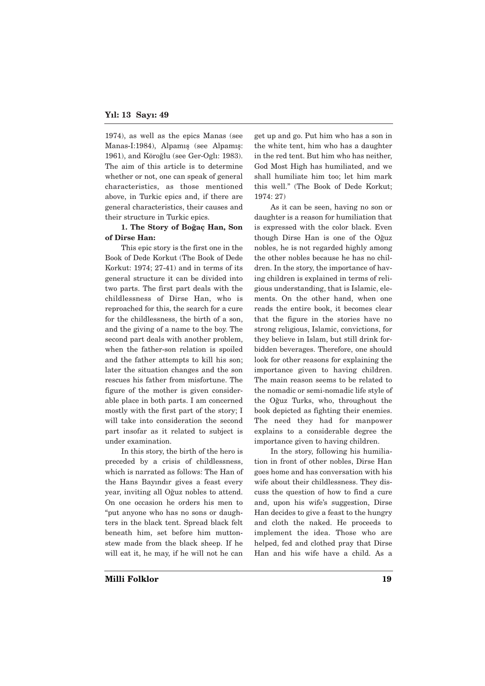### Yıl: 13 Sayı: 49

1974), as well as the epics Manas (see Manas-I:1984), Alpamış (see Alpamış: 1961), and Köroğlu (see Ger-Oglı: 1983). The aim of this article is to determine whether or not, one can speak of general characteristics, as those mentioned above, in Turkic epics and, if there are general characteristics, their causes and their structure in Turkic epics.

# 1. The Story of Boğaç Han, Son of Dirse Han:

This epic story is the first one in the Book of Dede Korkut (The Book of Dede Korkut: 1974; 27-41) and in terms of its general structure it can be divided into two parts. The first part deals with the childlessness of Dirse Han, who is reproached for this, the search for a cure for the childlessness, the birth of a son, and the giving of a name to the boy. The second part deals with another problem, when the father-son relation is spoiled and the father attempts to kill his son; later the situation changes and the son rescues his father from misfortune. The figure of the mother is given considerable place in both parts. I am concerned mostly with the first part of the story; I will take into consideration the second part insofar as it related to subject is under examination.

In this story, the birth of the hero is preceded by a crisis of childlessness, which is narrated as follows: The Han of the Hans Bayındır gives a feast every year, inviting all Oğuz nobles to attend. On one occasion he orders his men to "put anyone who has no sons or daughters in the black tent. Spread black felt beneath him, set before him muttonstew made from the black sheep. If he will eat it, he may, if he will not he can

get up and go. Put him who has a son in the white tent, him who has a daughter in the red tent. But him who has neither, God Most High has humiliated, and we shall humiliate him too; let him mark this well." (The Book of Dede Korkut; 1974: 27)

As it can be seen, having no son or daughter is a reason for humiliation that is expressed with the color black. Even though Dirse Han is one of the Oğuz nobles, he is not regarded highly among the other nobles because he has no children. In the story, the importance of having children is explained in terms of religious understanding, that is Islamic, elements. On the other hand, when one reads the entire book, it becomes clear that the figure in the stories have no strong religious, Islamic, convictions, for they believe in Islam, but still drink forbidden beverages. Therefore, one should look for other reasons for explaining the importance given to having children. The main reason seems to be related to the nomadic or semi-nomadic life style of the Oğuz Turks, who, throughout the book depicted as fighting their enemies. The need they had for manpower explains to a considerable degree the importance given to having children.

In the story, following his humiliation in front of other nobles, Dirse Han goes home and has conversation with his wife about their childlessness. They discuss the question of how to find a cure and, upon his wife's suggestion, Dirse Han decides to give a feast to the hungry and cloth the naked. He proceeds to implement the idea. Those who are helped, fed and clothed pray that Dirse Han and his wife have a child. As a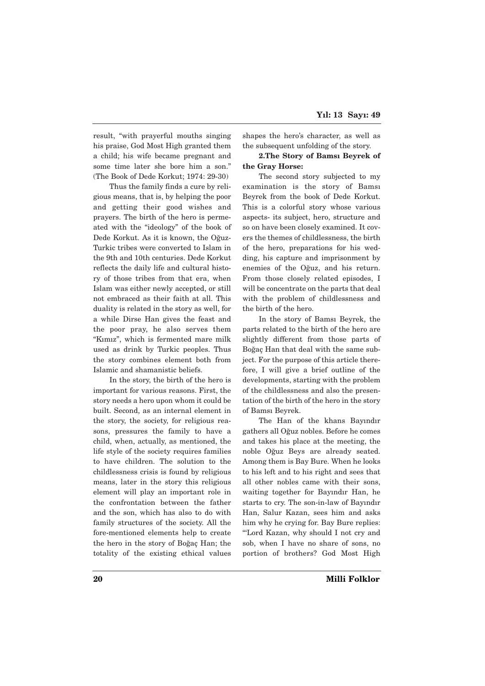result, "with prayerful mouths singing his praise, God Most High granted them a child; his wife became pregnant and some time later she bore him a son." (The Book of Dede Korkut; 1974: 29-30)

Thus the family finds a cure by religious means, that is, by helping the poor and getting their good wishes and prayers. The birth of the hero is permeated with the "ideology" of the book of Dede Korkut. As it is known, the Oğuz-Turkic tribes were converted to Islam in the 9th and 10th centuries. Dede Korkut reflects the daily life and cultural history of those tribes from that era, when Islam was either newly accepted, or still not embraced as their faith at all. This duality is related in the story as well, for a while Dirse Han gives the feast and the poor pray, he also serves them "Kımız", which is fermented mare milk used as drink by Turkic peoples. Thus the story combines element both from Islamic and shamanistic beliefs.

In the story, the birth of the hero is important for various reasons. First, the story needs a hero upon whom it could be built. Second, as an internal element in the story, the society, for religious reasons, pressures the family to have a child, when, actually, as mentioned, the life style of the society requires families to have children. The solution to the childlessness crisis is found by religious means, later in the story this religious element will play an important role in the confrontation between the father and the son, which has also to do with family structures of the society. All the fore-mentioned elements help to create the hero in the story of Boğaç Han; the totality of the existing ethical values shapes the hero's character, as well as the subsequent unfolding of the story.

# 2. The Story of Bamsı Beyrek of the Gray Horse:

The second story subjected to my examination is the story of Bamsı Beyrek from the book of Dede Korkut. This is a colorful story whose various aspects- its subject, hero, structure and so on have been closely examined. It covers the themes of childlessness, the birth of the hero, preparations for his wedding, his capture and imprisonment by enemies of the Oğuz, and his return. From those closely related episodes, I will be concentrate on the parts that deal with the problem of childlessness and the birth of the hero.

In the story of Bamsı Beyrek, the parts related to the birth of the hero are slightly different from those parts of Boğaç Han that deal with the same subject. For the purpose of this article therefore, I will give a brief outline of the developments, starting with the problem of the childlessness and also the presentation of the birth of the hero in the story of Bamsı Beyrek.

The Han of the khans Bayındır gathers all Oğuz nobles. Before he comes and takes his place at the meeting, the noble Oğuz Beys are already seated. Among them is Bay Bure. When he looks to his left and to his right and sees that all other nobles came with their sons, waiting together for Bayındır Han, he starts to cry. The son-in-law of Bayındır Han, Salur Kazan, sees him and asks him why he crying for. Bay Bure replies: "'Lord Kazan, why should I not cry and sob, when I have no share of sons, no portion of brothers? God Most High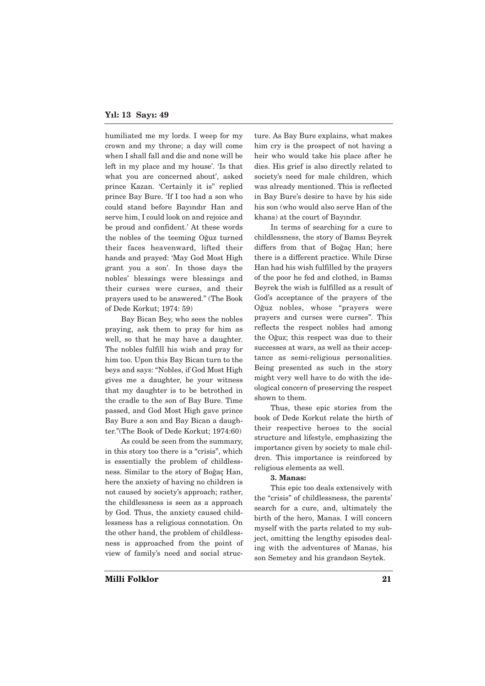humiliated me my lords. I weep for my crown and my throne; a day will come when I shall fall and die and none will be left in my place and my house'. 'Is that what you are concerned about', asked prince Kazan. 'Certainly it is" replied prince Bay Bure. 'If I too had a son who could stand before Bayındır Han and serve him, I could look on and rejoice and be proud and confident.' At these words the nobles of the teeming Oğuz turned their faces heavenward, lifted their hands and prayed: 'May God Most High grant you a son'. In those days the nobles' blessings were blessings and their curses were curses, and their prayers used to be answered." (The Book of Dede Korkut; 1974: 59)

Bay Bican Bey, who sees the nobles praying, ask them to pray for him as well, so that he may have a daughter. The nobles fulfill his wish and pray for him too. Upon this Bay Bican turn to the beys and says: "Nobles, if God Most High gives me a daughter, be your witness that my daughter is to be betrothed in the cradle to the son of Bay Bure. Time passed, and God Most High gave prince Bay Bure a son and Bay Bican a daughter."(The Book of Dede Korkut; 1974:60)

As could be seen from the summary, in this story too there is a "crisis", which is essentially the problem of childlessness. Similar to the story of Boğaç Han, here the anxiety of having no children is not caused by society's approach; rather, the childlessness is seen as a approach by God. Thus, the anxiety caused childlessness has a religious connotation. On the other hand, the problem of childlessness is approached from the point of view of family's need and social structure. As Bay Bure explains, what makes him cry is the prospect of not having a heir who would take his place after he dies. His grief is also directly related to society's need for male children, which was already mentioned. This is reflected in Bay Bure's desire to have by his side his son (who would also serve Han of the khans) at the court of Bayındır.

In terms of searching for a cure to childlessness, the story of Bamsı Beyrek differs from that of Boğac Han; here there is a different practice. While Dirse Han had his wish fulfilled by the prayers of the poor he fed and clothed, in Bamsı Beyrek the wish is fulfilled as a result of God's acceptance of the prayers of the Oğuz nobles, whose "prayers were prayers and curses were curses". This reflects the respect nobles had among the O¤uz; this respect was due to their successes at wars, as well as their acceptance as semi-religious personalities. Being presented as such in the story might very well have to do with the ideological concern of preserving the respect shown to them.

Thus, these epic stories from the book of Dede Korkut relate the birth of their respective heroes to the social structure and lifestyle, emphasizing the importance given by society to male children. This importance is reinforced by religious elements as well.

# 3. Manas:

This epic too deals extensively with the "crisis" of childlessness, the parents' search for a cure, and, ultimately the birth of the hero, Manas. I will concern myself with the parts related to my subject, omitting the lengthy episodes dealing with the adventures of Manas, his son Semetey and his grandson Seytek.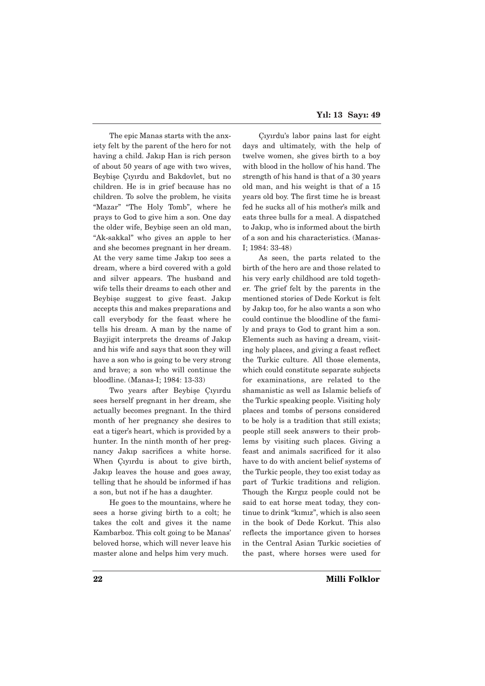The epic Manas starts with the anxiety felt by the parent of the hero for not having a child. Jakıp Han is rich person of about 50 years of age with two wives, Beybise Civirdu and Bakdovlet, but no children. He is in grief because has no children. To solve the problem, he visits "Mazar" "The Holy Tomb", where he prays to God to give him a son. One day the older wife, Beybişe seen an old man, "Ak-sakkal" who gives an apple to her and she becomes pregnant in her dream. At the very same time Jakip too sees a dream, where a bird covered with a gold and silver appears. The husband and wife tells their dreams to each other and Beybise suggest to give feast. Jakıp accepts this and makes preparations and call everybody for the feast where he tells his dream. A man by the name of Bayjigit interprets the dreams of Jakıp and his wife and says that soon they will have a son who is going to be very strong and brave; a son who will continue the bloodline. (Manas-I; 1984: 13-33)

Two years after Beybise Civirdu sees herself pregnant in her dream, she actually becomes pregnant. In the third month of her pregnancy she desires to eat a tiger's heart, which is provided by a hunter. In the ninth month of her pregnancy Jakıp sacrifices a white horse. When Civirdu is about to give birth, Jakıp leaves the house and goes away, telling that he should be informed if has a son, but not if he has a daughter.

He goes to the mountains, where he sees a horse giving birth to a colt; he takes the colt and gives it the name Kambarboz. This colt going to be Manas' beloved horse, which will never leave his master alone and helps him very much.

Çıyırdu's labor pains last for eight days and ultimately, with the help of twelve women, she gives birth to a boy with blood in the hollow of his hand. The strength of his hand is that of a 30 years old man, and his weight is that of a 15 years old boy. The first time he is breast fed he sucks all of his mother's milk and eats three bulls for a meal. A dispatched to Jakıp, who is informed about the birth of a son and his characteristics. (Manas-I; 1984: 33-48)

As seen, the parts related to the birth of the hero are and those related to his very early childhood are told together. The grief felt by the parents in the mentioned stories of Dede Korkut is felt by Jak›p too, for he also wants a son who could continue the bloodline of the family and prays to God to grant him a son. Elements such as having a dream, visiting holy places, and giving a feast reflect the Turkic culture. All those elements, which could constitute separate subjects for examinations, are related to the shamanistic as well as Islamic beliefs of the Turkic speaking people. Visiting holy places and tombs of persons considered to be holy is a tradition that still exists; people still seek answers to their problems by visiting such places. Giving a feast and animals sacrificed for it also have to do with ancient belief systems of the Turkic people, they too exist today as part of Turkic traditions and religion. Though the Kirgiz people could not be said to eat horse meat today, they continue to drink "kımız", which is also seen in the book of Dede Korkut. This also reflects the importance given to horses in the Central Asian Turkic societies of the past, where horses were used for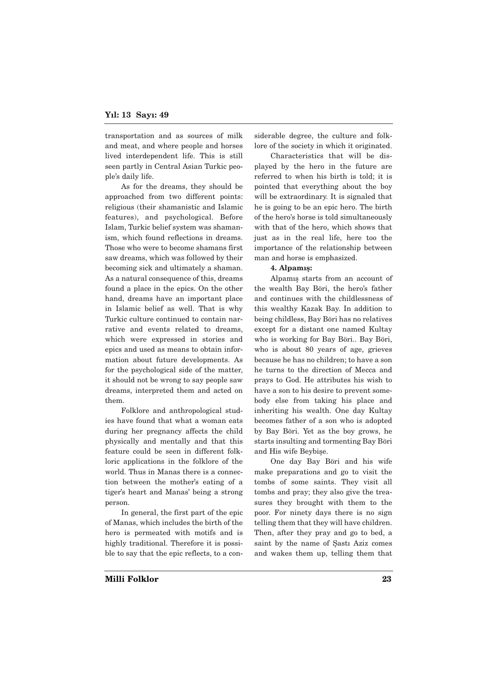transportation and as sources of milk and meat, and where people and horses lived interdependent life. This is still seen partly in Central Asian Turkic people's daily life.

As for the dreams, they should be approached from two different points: religious (their shamanistic and Islamic features), and psychological. Before Islam, Turkic belief system was shamanism, which found reflections in dreams. Those who were to become shamans first saw dreams, which was followed by their becoming sick and ultimately a shaman. As a natural consequence of this, dreams found a place in the epics. On the other hand, dreams have an important place in Islamic belief as well. That is why Turkic culture continued to contain narrative and events related to dreams, which were expressed in stories and epics and used as means to obtain information about future developments. As for the psychological side of the matter, it should not be wrong to say people saw dreams, interpreted them and acted on them.

Folklore and anthropological studies have found that what a woman eats during her pregnancy affects the child physically and mentally and that this feature could be seen in different folkloric applications in the folklore of the world. Thus in Manas there is a connection between the mother's eating of a tiger's heart and Manas' being a strong person.

In general, the first part of the epic of Manas, which includes the birth of the hero is permeated with motifs and is highly traditional. Therefore it is possible to say that the epic reflects, to a considerable degree, the culture and folklore of the society in which it originated.

Characteristics that will be displayed by the hero in the future are referred to when his birth is told; it is pointed that everything about the boy will be extraordinary. It is signaled that he is going to be an epic hero. The birth of the hero's horse is told simultaneously with that of the hero, which shows that just as in the real life, here too the importance of the relationship between man and horse is emphasized.

## 4. Alpamis:

Alpamis starts from an account of the wealth Bay Böri, the hero's father and continues with the childlessness of this wealthy Kazak Bay. In addition to being childless, Bay Böri has no relatives except for a distant one named Kultay who is working for Bay Böri.. Bay Böri, who is about 80 years of age, grieves because he has no children; to have a son he turns to the direction of Mecca and prays to God. He attributes his wish to have a son to his desire to prevent somebody else from taking his place and inheriting his wealth. One day Kultay becomes father of a son who is adopted by Bay Böri. Yet as the boy grows, he starts insulting and tormenting Bay Böri and His wife Beybişe.

One day Bay Böri and his wife make preparations and go to visit the tombs of some saints. They visit all tombs and pray; they also give the treasures they brought with them to the poor. For ninety days there is no sign telling them that they will have children. Then, after they pray and go to bed, a saint by the name of Sasti Aziz comes and wakes them up, telling them that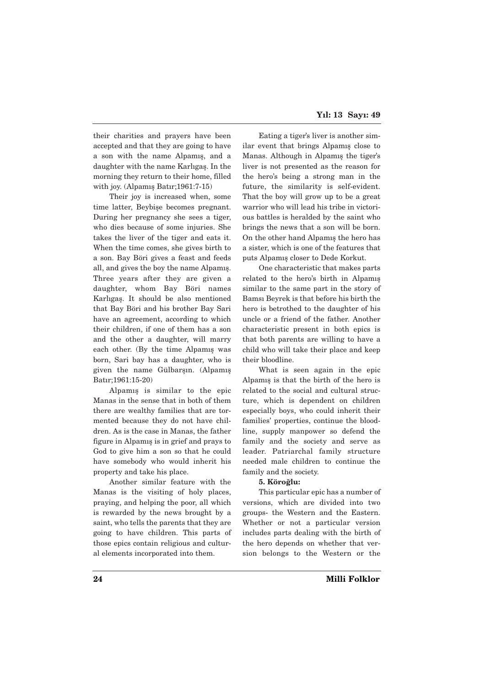their charities and prayers have been accepted and that they are going to have a son with the name Alpamış, and a daughter with the name Karlıgas. In the morning they return to their home, filled with joy. (Alpamış Batır;1961:7-15)

Their joy is increased when, some time latter, Beybise becomes pregnant. During her pregnancy she sees a tiger, who dies because of some injuries. She takes the liver of the tiger and eats it. When the time comes, she gives birth to a son. Bay Böri gives a feast and feeds all, and gives the boy the name Alpamış. Three years after they are given a daughter, whom Bay Böri names Karlıgaş. It should be also mentioned that Bay Böri and his brother Bay Sari have an agreement, according to which their children, if one of them has a son and the other a daughter, will marry each other. (By the time Alpamış was born, Sari bay has a daughter, who is given the name Gülbarşın. (Alpamış Batır:1961:15-20)

Alpamis is similar to the epic Manas in the sense that in both of them there are wealthy families that are tormented because they do not have children. As is the case in Manas, the father figure in Alpamis is in grief and prays to God to give him a son so that he could have somebody who would inherit his property and take his place.

Another similar feature with the Manas is the visiting of holy places, praying, and helping the poor, all which is rewarded by the news brought by a saint, who tells the parents that they are going to have children. This parts of those epics contain religious and cultural elements incorporated into them.

Eating a tiger's liver is another similar event that brings Alpamış close to Manas. Although in Alpamış the tiger's liver is not presented as the reason for the hero's being a strong man in the future, the similarity is self-evident. That the boy will grow up to be a great warrior who will lead his tribe in victorious battles is heralded by the saint who brings the news that a son will be born. On the other hand Alpamıs the hero has a sister, which is one of the features that puts Alpamış closer to Dede Korkut.

One characteristic that makes parts related to the hero's birth in Alpamıs similar to the same part in the story of Bamsı Beyrek is that before his birth the hero is betrothed to the daughter of his uncle or a friend of the father. Another characteristic present in both epics is that both parents are willing to have a child who will take their place and keep their bloodline.

What is seen again in the epic Alpamis is that the birth of the hero is related to the social and cultural structure, which is dependent on children especially boys, who could inherit their families' properties, continue the bloodline, supply manpower so defend the family and the society and serve as leader. Patriarchal family structure needed male children to continue the family and the society.

## 5. Köro¤lu:

This particular epic has a number of versions, which are divided into two groups- the Western and the Eastern. Whether or not a particular version includes parts dealing with the birth of the hero depends on whether that version belongs to the Western or the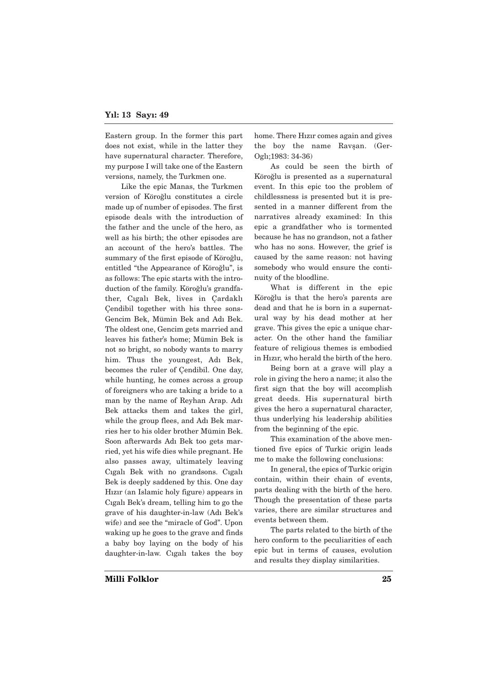### Yıl: 13 Sayı: 49

Eastern group. In the former this part does not exist, while in the latter they have supernatural character. Therefore, my purpose I will take one of the Eastern versions, namely, the Turkmen one.

Like the epic Manas, the Turkmen version of Köro¤lu constitutes a circle made up of number of episodes. The first episode deals with the introduction of the father and the uncle of the hero, as well as his birth; the other episodes are an account of the hero's battles. The summary of the first episode of Köroğlu, entitled "the Appearance of Köroğlu", is as follows: The epic starts with the introduction of the family. Köroğlu's grandfather, Cıgalı Bek, lives in Çardaklı Çendibil together with his three sons-Gencim Bek, Mümin Bek and Adı Bek. The oldest one, Gencim gets married and leaves his father's home; Mümin Bek is not so bright, so nobody wants to marry him. Thus the youngest, Adı Bek, becomes the ruler of Çendibil. One day, while hunting, he comes across a group of foreigners who are taking a bride to a man by the name of Reyhan Arap. Adı Bek attacks them and takes the girl, while the group flees, and Ad<sub>1</sub> Bek marries her to his older brother Mümin Bek. Soon afterwards Adı Bek too gets married, yet his wife dies while pregnant. He also passes away, ultimately leaving Cıgalı Bek with no grandsons. Cıgalı Bek is deeply saddened by this. One day Hızır (an Islamic holy figure) appears in Cıgalı Bek's dream, telling him to go the grave of his daughter-in-law (Adı Bek's wife) and see the "miracle of God". Upon waking up he goes to the grave and finds a baby boy laying on the body of his daughter-in-law. Cigali takes the boy

home. There Hizir comes again and gives the boy the name Ravsan. (Ger-Ogli;1983: 34-36)

As could be seen the birth of Köro¤lu is presented as a supernatural event. In this epic too the problem of childlessness is presented but it is presented in a manner different from the narratives already examined: In this epic a grandfather who is tormented because he has no grandson, not a father who has no sons. However, the grief is caused by the same reason: not having somebody who would ensure the continuity of the bloodline.

What is different in the epic Köro¤lu is that the hero's parents are dead and that he is born in a supernatural way by his dead mother at her grave. This gives the epic a unique character. On the other hand the familiar feature of religious themes is embodied in Hizir, who herald the birth of the hero.

Being born at a grave will play a role in giving the hero a name; it also the first sign that the boy will accomplish great deeds. His supernatural birth gives the hero a supernatural character, thus underlying his leadership abilities from the beginning of the epic.

This examination of the above mentioned five epics of Turkic origin leads me to make the following conclusions:

In general, the epics of Turkic origin contain, within their chain of events, parts dealing with the birth of the hero. Though the presentation of these parts varies, there are similar structures and events between them.

The parts related to the birth of the hero conform to the peculiarities of each epic but in terms of causes, evolution and results they display similarities.